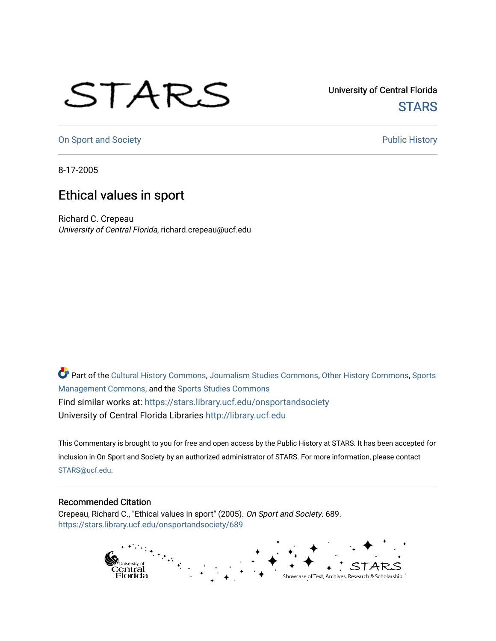## STARS

University of Central Florida **STARS** 

[On Sport and Society](https://stars.library.ucf.edu/onsportandsociety) **Public History** Public History

8-17-2005

## Ethical values in sport

Richard C. Crepeau University of Central Florida, richard.crepeau@ucf.edu

Part of the [Cultural History Commons](http://network.bepress.com/hgg/discipline/496?utm_source=stars.library.ucf.edu%2Fonsportandsociety%2F689&utm_medium=PDF&utm_campaign=PDFCoverPages), [Journalism Studies Commons,](http://network.bepress.com/hgg/discipline/333?utm_source=stars.library.ucf.edu%2Fonsportandsociety%2F689&utm_medium=PDF&utm_campaign=PDFCoverPages) [Other History Commons,](http://network.bepress.com/hgg/discipline/508?utm_source=stars.library.ucf.edu%2Fonsportandsociety%2F689&utm_medium=PDF&utm_campaign=PDFCoverPages) [Sports](http://network.bepress.com/hgg/discipline/1193?utm_source=stars.library.ucf.edu%2Fonsportandsociety%2F689&utm_medium=PDF&utm_campaign=PDFCoverPages) [Management Commons](http://network.bepress.com/hgg/discipline/1193?utm_source=stars.library.ucf.edu%2Fonsportandsociety%2F689&utm_medium=PDF&utm_campaign=PDFCoverPages), and the [Sports Studies Commons](http://network.bepress.com/hgg/discipline/1198?utm_source=stars.library.ucf.edu%2Fonsportandsociety%2F689&utm_medium=PDF&utm_campaign=PDFCoverPages) Find similar works at: <https://stars.library.ucf.edu/onsportandsociety> University of Central Florida Libraries [http://library.ucf.edu](http://library.ucf.edu/) 

This Commentary is brought to you for free and open access by the Public History at STARS. It has been accepted for inclusion in On Sport and Society by an authorized administrator of STARS. For more information, please contact [STARS@ucf.edu](mailto:STARS@ucf.edu).

## Recommended Citation

Crepeau, Richard C., "Ethical values in sport" (2005). On Sport and Society. 689. [https://stars.library.ucf.edu/onsportandsociety/689](https://stars.library.ucf.edu/onsportandsociety/689?utm_source=stars.library.ucf.edu%2Fonsportandsociety%2F689&utm_medium=PDF&utm_campaign=PDFCoverPages)

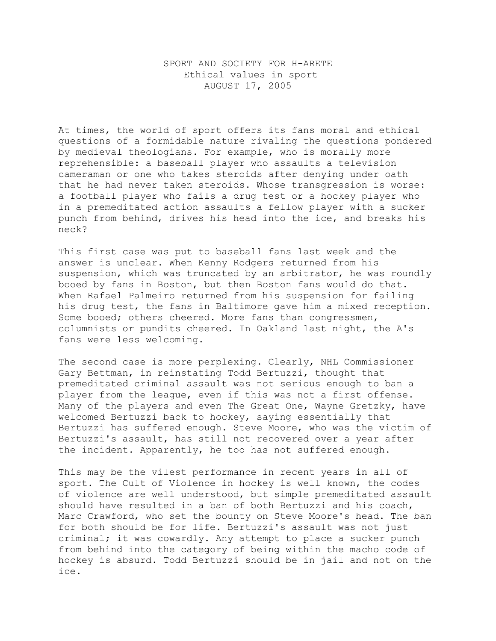## SPORT AND SOCIETY FOR H-ARETE Ethical values in sport AUGUST 17, 2005

At times, the world of sport offers its fans moral and ethical questions of a formidable nature rivaling the questions pondered by medieval theologians. For example, who is morally more reprehensible: a baseball player who assaults a television cameraman or one who takes steroids after denying under oath that he had never taken steroids. Whose transgression is worse: a football player who fails a drug test or a hockey player who in a premeditated action assaults a fellow player with a sucker punch from behind, drives his head into the ice, and breaks his neck?

This first case was put to baseball fans last week and the answer is unclear. When Kenny Rodgers returned from his suspension, which was truncated by an arbitrator, he was roundly booed by fans in Boston, but then Boston fans would do that. When Rafael Palmeiro returned from his suspension for failing his drug test, the fans in Baltimore gave him a mixed reception. Some booed; others cheered. More fans than congressmen, columnists or pundits cheered. In Oakland last night, the A's fans were less welcoming.

The second case is more perplexing. Clearly, NHL Commissioner Gary Bettman, in reinstating Todd Bertuzzi, thought that premeditated criminal assault was not serious enough to ban a player from the league, even if this was not a first offense. Many of the players and even The Great One, Wayne Gretzky, have welcomed Bertuzzi back to hockey, saying essentially that Bertuzzi has suffered enough. Steve Moore, who was the victim of Bertuzzi's assault, has still not recovered over a year after the incident. Apparently, he too has not suffered enough.

This may be the vilest performance in recent years in all of sport. The Cult of Violence in hockey is well known, the codes of violence are well understood, but simple premeditated assault should have resulted in a ban of both Bertuzzi and his coach, Marc Crawford, who set the bounty on Steve Moore's head. The ban for both should be for life. Bertuzzi's assault was not just criminal; it was cowardly. Any attempt to place a sucker punch from behind into the category of being within the macho code of hockey is absurd. Todd Bertuzzi should be in jail and not on the ice.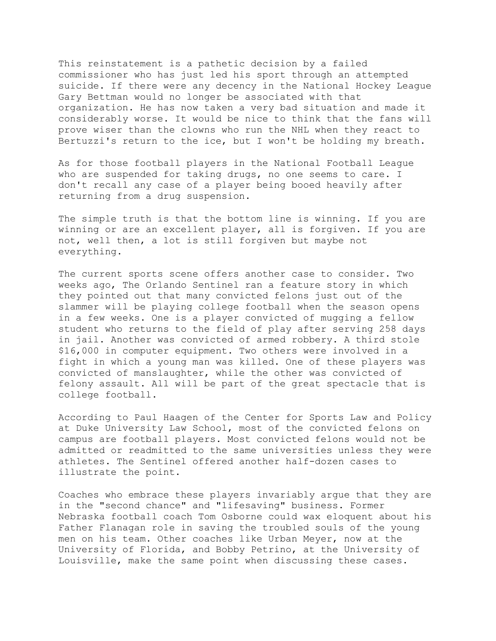This reinstatement is a pathetic decision by a failed commissioner who has just led his sport through an attempted suicide. If there were any decency in the National Hockey League Gary Bettman would no longer be associated with that organization. He has now taken a very bad situation and made it considerably worse. It would be nice to think that the fans will prove wiser than the clowns who run the NHL when they react to Bertuzzi's return to the ice, but I won't be holding my breath.

As for those football players in the National Football League who are suspended for taking drugs, no one seems to care. I don't recall any case of a player being booed heavily after returning from a drug suspension.

The simple truth is that the bottom line is winning. If you are winning or are an excellent player, all is forgiven. If you are not, well then, a lot is still forgiven but maybe not everything.

The current sports scene offers another case to consider. Two weeks ago, The Orlando Sentinel ran a feature story in which they pointed out that many convicted felons just out of the slammer will be playing college football when the season opens in a few weeks. One is a player convicted of mugging a fellow student who returns to the field of play after serving 258 days in jail. Another was convicted of armed robbery. A third stole \$16,000 in computer equipment. Two others were involved in a fight in which a young man was killed. One of these players was convicted of manslaughter, while the other was convicted of felony assault. All will be part of the great spectacle that is college football.

According to Paul Haagen of the Center for Sports Law and Policy at Duke University Law School, most of the convicted felons on campus are football players. Most convicted felons would not be admitted or readmitted to the same universities unless they were athletes. The Sentinel offered another half-dozen cases to illustrate the point.

Coaches who embrace these players invariably argue that they are in the "second chance" and "lifesaving" business. Former Nebraska football coach Tom Osborne could wax eloquent about his Father Flanagan role in saving the troubled souls of the young men on his team. Other coaches like Urban Meyer, now at the University of Florida, and Bobby Petrino, at the University of Louisville, make the same point when discussing these cases.